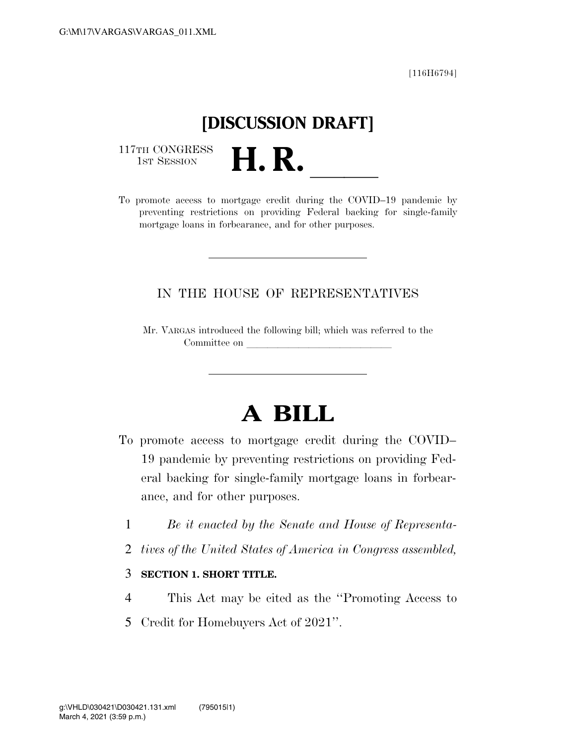[116H6794]

# **[DISCUSSION DRAFT]**

117TH CONGRESS<br>1st Session

117TH CONGRESS<br>1st SESSION **H. R.** <u>International COVID–19</u> pandemic by preventing restrictions on providing Federal backing for single-family mortgage loans in forbearance, and for other purposes.

### IN THE HOUSE OF REPRESENTATIVES

Mr. VARGAS introduced the following bill; which was referred to the Committee on

## **A BILL**

- To promote access to mortgage credit during the COVID– 19 pandemic by preventing restrictions on providing Federal backing for single-family mortgage loans in forbearance, and for other purposes.
	- 1 *Be it enacted by the Senate and House of Representa-*
	- 2 *tives of the United States of America in Congress assembled,*

#### 3 **SECTION 1. SHORT TITLE.**

- 4 This Act may be cited as the ''Promoting Access to
- 5 Credit for Homebuyers Act of 2021''.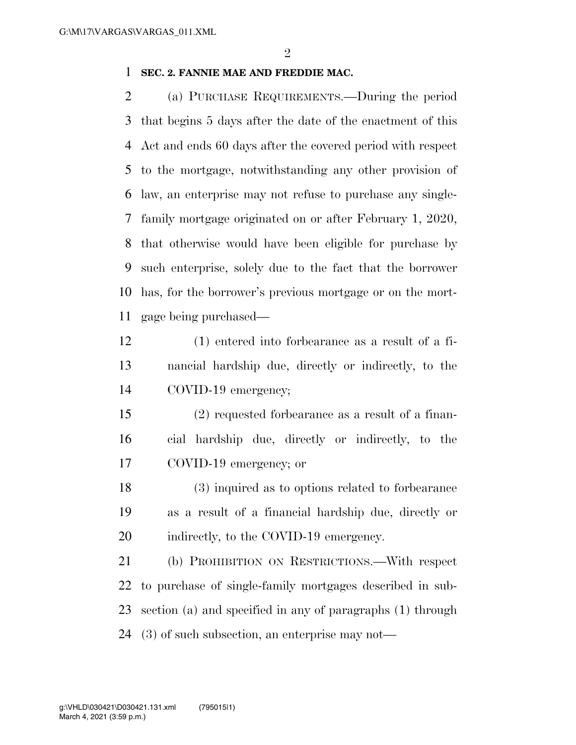#### **SEC. 2. FANNIE MAE AND FREDDIE MAC.**

 (a) PURCHASE REQUIREMENTS.—During the period that begins 5 days after the date of the enactment of this Act and ends 60 days after the covered period with respect to the mortgage, notwithstanding any other provision of law, an enterprise may not refuse to purchase any single- family mortgage originated on or after February 1, 2020, that otherwise would have been eligible for purchase by such enterprise, solely due to the fact that the borrower has, for the borrower's previous mortgage or on the mort-gage being purchased—

- (1) entered into forbearance as a result of a fi- nancial hardship due, directly or indirectly, to the COVID-19 emergency;
- (2) requested forbearance as a result of a finan- cial hardship due, directly or indirectly, to the COVID-19 emergency; or

 (3) inquired as to options related to forbearance as a result of a financial hardship due, directly or 20 indirectly, to the COVID-19 emergency.

 (b) PROHIBITION ON RESTRICTIONS.—With respect to purchase of single-family mortgages described in sub- section (a) and specified in any of paragraphs (1) through (3) of such subsection, an enterprise may not—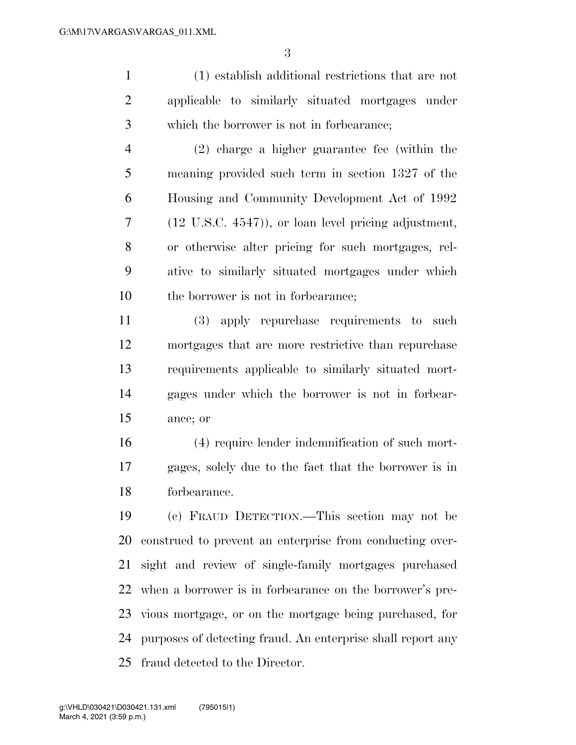(1) establish additional restrictions that are not applicable to similarly situated mortgages under which the borrower is not in forbearance;

 (2) charge a higher guarantee fee (within the meaning provided such term in section 1327 of the Housing and Community Development Act of 1992 (12 U.S.C. 4547)), or loan level pricing adjustment, or otherwise alter pricing for such mortgages, rel- ative to similarly situated mortgages under which 10 the borrower is not in forbearance:

 (3) apply repurchase requirements to such mortgages that are more restrictive than repurchase requirements applicable to similarly situated mort- gages under which the borrower is not in forbear-ance; or

 (4) require lender indemnification of such mort- gages, solely due to the fact that the borrower is in forbearance.

 (c) FRAUD DETECTION.—This section may not be construed to prevent an enterprise from conducting over- sight and review of single-family mortgages purchased when a borrower is in forbearance on the borrower's pre- vious mortgage, or on the mortgage being purchased, for purposes of detecting fraud. An enterprise shall report any fraud detected to the Director.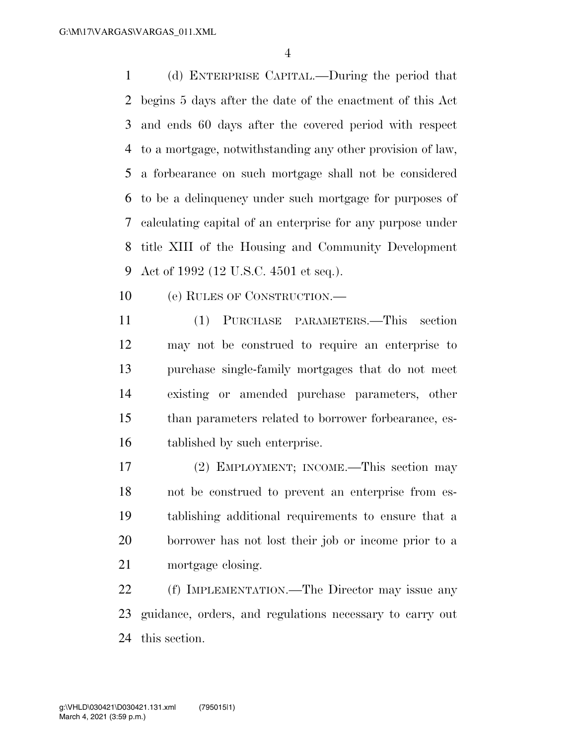(d) ENTERPRISE CAPITAL.—During the period that begins 5 days after the date of the enactment of this Act and ends 60 days after the covered period with respect to a mortgage, notwithstanding any other provision of law, a forbearance on such mortgage shall not be considered to be a delinquency under such mortgage for purposes of calculating capital of an enterprise for any purpose under title XIII of the Housing and Community Development Act of 1992 (12 U.S.C. 4501 et seq.).

(e) RULES OF CONSTRUCTION.—

 (1) PURCHASE PARAMETERS.—This section may not be construed to require an enterprise to purchase single-family mortgages that do not meet existing or amended purchase parameters, other than parameters related to borrower forbearance, es-tablished by such enterprise.

 (2) EMPLOYMENT; INCOME.—This section may not be construed to prevent an enterprise from es- tablishing additional requirements to ensure that a borrower has not lost their job or income prior to a mortgage closing.

 (f) IMPLEMENTATION.—The Director may issue any guidance, orders, and regulations necessary to carry out this section.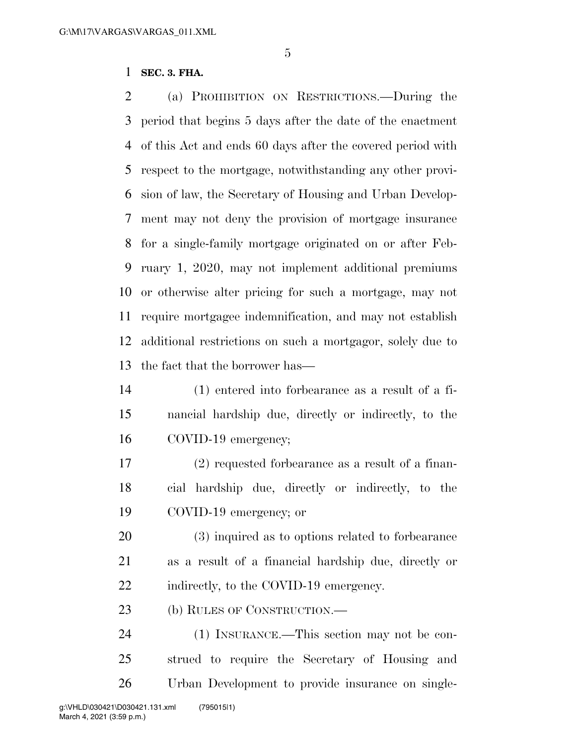#### **SEC. 3. FHA.**

 (a) PROHIBITION ON RESTRICTIONS.—During the period that begins 5 days after the date of the enactment of this Act and ends 60 days after the covered period with respect to the mortgage, notwithstanding any other provi- sion of law, the Secretary of Housing and Urban Develop- ment may not deny the provision of mortgage insurance for a single-family mortgage originated on or after Feb- ruary 1, 2020, may not implement additional premiums or otherwise alter pricing for such a mortgage, may not require mortgagee indemnification, and may not establish additional restrictions on such a mortgagor, solely due to the fact that the borrower has—

- (1) entered into forbearance as a result of a fi- nancial hardship due, directly or indirectly, to the COVID-19 emergency;
- (2) requested forbearance as a result of a finan- cial hardship due, directly or indirectly, to the COVID-19 emergency; or
- (3) inquired as to options related to forbearance as a result of a financial hardship due, directly or 22 indirectly, to the COVID-19 emergency.
- (b) RULES OF CONSTRUCTION.—

 (1) INSURANCE.—This section may not be con- strued to require the Secretary of Housing and Urban Development to provide insurance on single-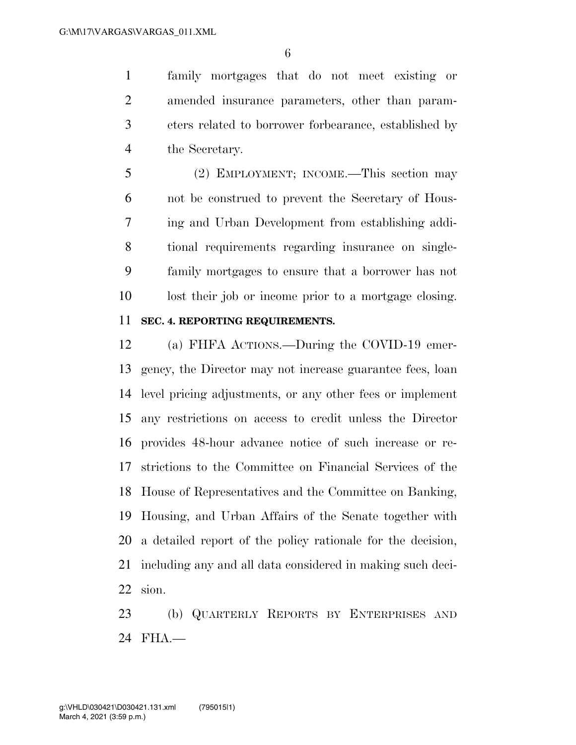family mortgages that do not meet existing or amended insurance parameters, other than param- eters related to borrower forbearance, established by the Secretary.

 (2) EMPLOYMENT; INCOME.—This section may not be construed to prevent the Secretary of Hous- ing and Urban Development from establishing addi- tional requirements regarding insurance on single- family mortgages to ensure that a borrower has not lost their job or income prior to a mortgage closing.

#### **SEC. 4. REPORTING REQUIREMENTS.**

 (a) FHFA ACTIONS.—During the COVID-19 emer- gency, the Director may not increase guarantee fees, loan level pricing adjustments, or any other fees or implement any restrictions on access to credit unless the Director provides 48-hour advance notice of such increase or re- strictions to the Committee on Financial Services of the House of Representatives and the Committee on Banking, Housing, and Urban Affairs of the Senate together with a detailed report of the policy rationale for the decision, including any and all data considered in making such deci-sion.

 (b) QUARTERLY REPORTS BY ENTERPRISES AND FHA.—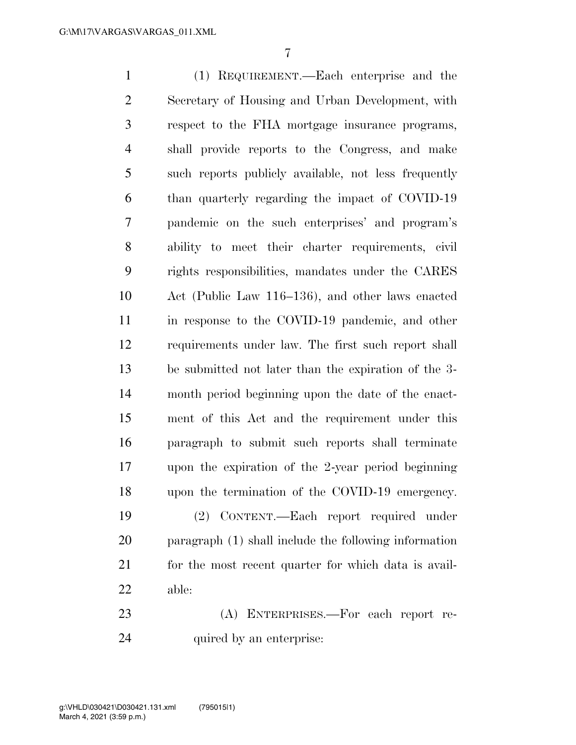(1) REQUIREMENT.—Each enterprise and the Secretary of Housing and Urban Development, with respect to the FHA mortgage insurance programs, shall provide reports to the Congress, and make such reports publicly available, not less frequently than quarterly regarding the impact of COVID-19 pandemic on the such enterprises' and program's ability to meet their charter requirements, civil rights responsibilities, mandates under the CARES Act (Public Law 116–136), and other laws enacted in response to the COVID-19 pandemic, and other requirements under law. The first such report shall be submitted not later than the expiration of the 3- month period beginning upon the date of the enact- ment of this Act and the requirement under this paragraph to submit such reports shall terminate upon the expiration of the 2-year period beginning upon the termination of the COVID-19 emergency. (2) CONTENT.—Each report required under paragraph (1) shall include the following information 21 for the most recent quarter for which data is avail-

- able:
- (A) ENTERPRISES.—For each report re-24 quired by an enterprise: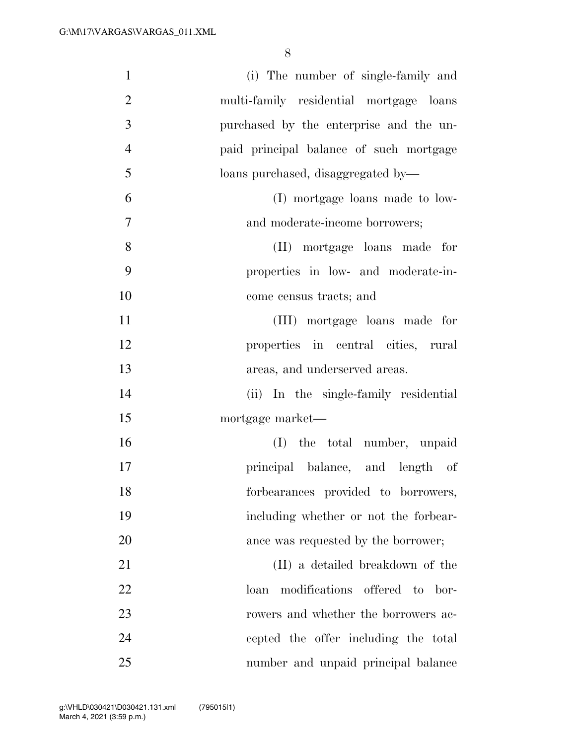| $\mathbf{1}$   | (i) The number of single-family and         |
|----------------|---------------------------------------------|
| $\overline{2}$ | multi-family residential mortgage loans     |
| 3              | purchased by the enterprise and the un-     |
| $\overline{4}$ | paid principal balance of such mortgage     |
| 5              | loans purchased, disaggregated by-          |
| 6              | (I) mortgage loans made to low-             |
| $\tau$         | and moderate-income borrowers;              |
| 8              | (II) mortgage loans made for                |
| 9              | properties in low- and moderate-in-         |
| 10             | come census tracts; and                     |
| 11             | (III) mortgage loans made for               |
| 12             | properties in central cities, rural         |
| 13             | areas, and underserved areas.               |
| 14             | (ii) In the single-family residential       |
| 15             | mortgage market—                            |
| 16             | (I) the total number, unpaid                |
| 17             | principal balance, and length of            |
| 18             | forbearances provided to borrowers,         |
| 19             | including whether or not the forbear-       |
| 20             | ance was requested by the borrower;         |
| 21             | (II) a detailed breakdown of the            |
| 22             | modifications<br>offered to<br>bor-<br>loan |
| 23             | rowers and whether the borrowers ac-        |
| 24             | cepted the offer including the total        |
| 25             | number and unpaid principal balance         |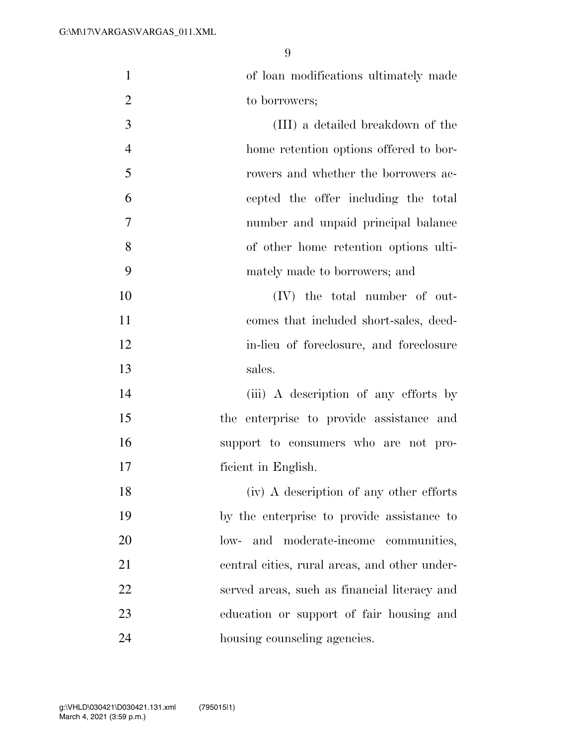| $\mathbf{1}$   | of loan modifications ultimately made         |
|----------------|-----------------------------------------------|
| $\overline{2}$ | to borrowers;                                 |
| 3              | (III) a detailed breakdown of the             |
| $\overline{4}$ | home retention options offered to bor-        |
| 5              | rowers and whether the borrowers ac-          |
| 6              | cepted the offer including the total          |
| 7              | number and unpaid principal balance           |
| 8              | of other home retention options ulti-         |
| 9              | mately made to borrowers; and                 |
| 10             | (IV) the total number of out-                 |
| 11             | comes that included short-sales, deed-        |
| 12             | in-lieu of foreclosure, and foreclosure       |
| 13             | sales.                                        |
| 14             | (iii) A description of any efforts by         |
| 15             | the enterprise to provide assistance and      |
| 16             | support to consumers who are not pro-         |
| 17             | ficient in English.                           |
| 18             | (iv) A description of any other efforts       |
| 19             | by the enterprise to provide assistance to    |
| 20             | low- and moderate-income communities,         |
| 21             | central cities, rural areas, and other under- |
| 22             | served areas, such as financial literacy and  |
| 23             | education or support of fair housing and      |
| 24             | housing counseling agencies.                  |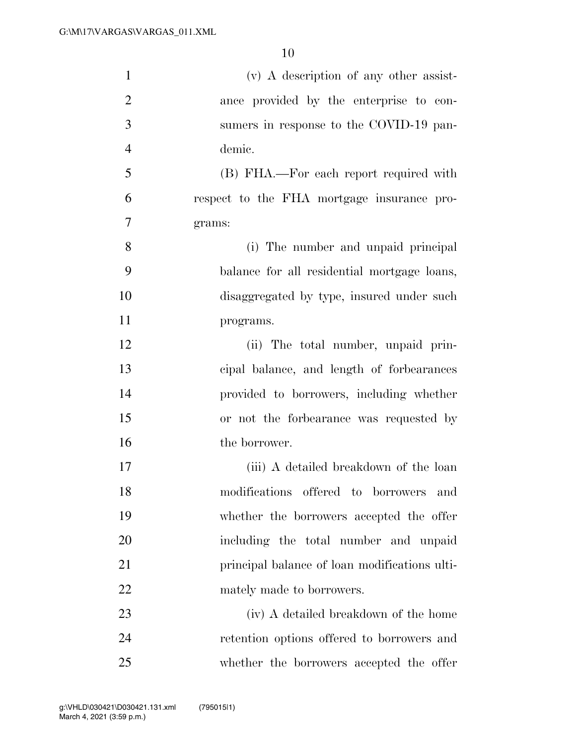| $\mathbf{1}$   | $(v)$ A description of any other assist-      |
|----------------|-----------------------------------------------|
| $\overline{2}$ | ance provided by the enterprise to con-       |
| 3              | sumers in response to the COVID-19 pan-       |
| $\overline{4}$ | demic.                                        |
| 5              | (B) FHA.—For each report required with        |
| 6              | respect to the FHA mortgage insurance pro-    |
| 7              | grams:                                        |
| 8              | (i) The number and unpaid principal           |
| 9              | balance for all residential mortgage loans,   |
| 10             | disaggregated by type, insured under such     |
| 11             | programs.                                     |
| 12             | (ii) The total number, unpaid prin-           |
| 13             | cipal balance, and length of forbearances     |
| 14             | provided to borrowers, including whether      |
| 15             | or not the forbearance was requested by       |
| 16             | the borrower.                                 |
| 17             | (iii) A detailed breakdown of the loan        |
| 18             | modifications offered to borrowers<br>and     |
| 19             | whether the borrowers accepted the offer      |
| 20             | including the total number and unpaid         |
| 21             | principal balance of loan modifications ulti- |
| 22             | mately made to borrowers.                     |
| 23             | (iv) A detailed breakdown of the home         |
| 24             | retention options offered to borrowers and    |
| 25             | whether the borrowers accepted the offer      |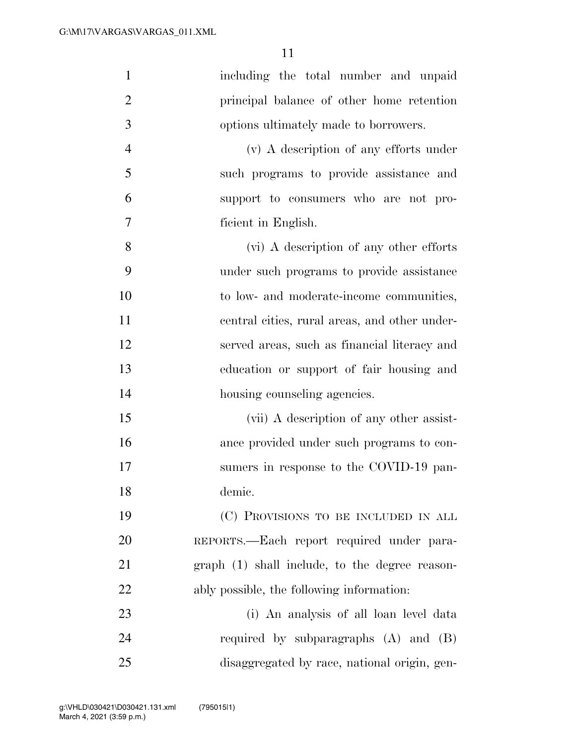| $\mathbf{1}$   | including the total number and unpaid          |
|----------------|------------------------------------------------|
| $\overline{2}$ | principal balance of other home retention      |
| 3              | options ultimately made to borrowers.          |
| $\overline{4}$ | (v) A description of any efforts under         |
| 5              | such programs to provide assistance and        |
| 6              | support to consumers who are not pro-          |
| 7              | ficient in English.                            |
| 8              | (vi) A description of any other efforts        |
| 9              | under such programs to provide assistance      |
| 10             | to low- and moderate-income communities,       |
| 11             | central cities, rural areas, and other under-  |
| 12             | served areas, such as financial literacy and   |
| 13             | education or support of fair housing and       |
| 14             | housing counseling agencies.                   |
| 15             | (vii) A description of any other assist-       |
| 16             | ance provided under such programs to con-      |
| 17             | sumers in response to the COVID-19 pan-        |
| 18             | demic.                                         |
| 19             | (C) PROVISIONS TO BE INCLUDED IN ALL           |
| 20             | REPORTS.—Each report required under para-      |
| 21             | graph (1) shall include, to the degree reason- |
| 22             | ably possible, the following information:      |
| 23             | (i) An analysis of all loan level data         |
| 24             | required by subparagraphs $(A)$ and $(B)$      |
| 25             | disaggregated by race, national origin, gen-   |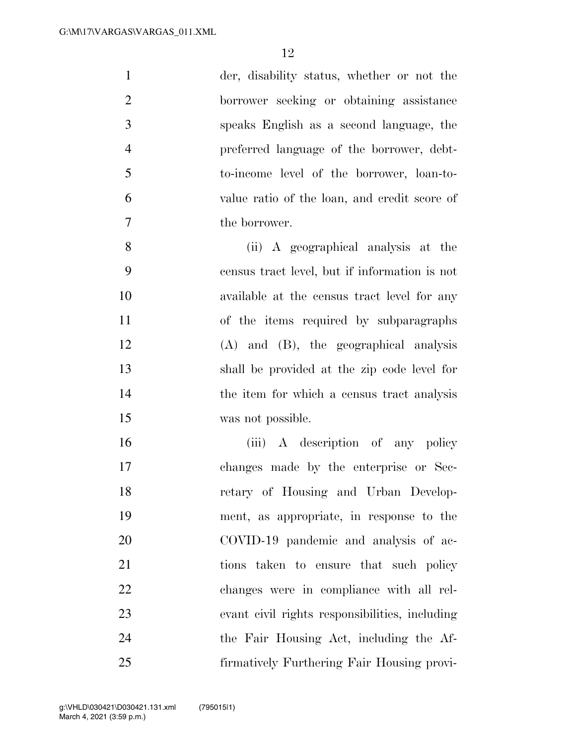| $\mathbf{1}$   | der, disability status, whether or not the     |
|----------------|------------------------------------------------|
| $\overline{2}$ | borrower seeking or obtaining assistance       |
| 3              | speaks English as a second language, the       |
| $\overline{4}$ | preferred language of the borrower, debt-      |
| 5              | to-income level of the borrower, loan-to-      |
| 6              | value ratio of the loan, and credit score of   |
| $\tau$         | the borrower.                                  |
| 8              | (ii) A geographical analysis at the            |
| 9              | census tract level, but if information is not  |
| 10             | available at the census tract level for any    |
| 11             | of the items required by subparagraphs         |
| 12             | $(A)$ and $(B)$ , the geographical analysis    |
| 13             | shall be provided at the zip code level for    |
| 14             | the item for which a census tract analysis     |
| 15             | was not possible.                              |
| 16             | (iii) A description of any policy              |
| 17             | changes made by the enterprise or Sec-         |
| 18             | retary of Housing and Urban Develop-           |
| 19             | ment, as appropriate, in response to the       |
| 20             | COVID-19 pandemic and analysis of ac-          |
| 21             | tions taken to ensure that such policy         |
| 22             | changes were in compliance with all rel-       |
| 23             | evant civil rights responsibilities, including |
| 24             | the Fair Housing Act, including the Af-        |
| 25             | firmatively Furthering Fair Housing provi-     |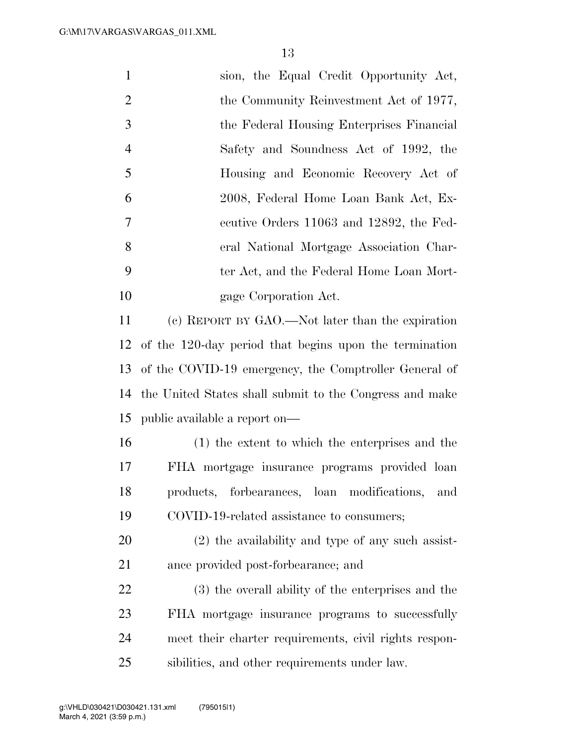| $\mathbf{1}$   | sion, the Equal Credit Opportunity Act,                 |
|----------------|---------------------------------------------------------|
| $\overline{2}$ | the Community Reinvestment Act of 1977,                 |
| 3              | the Federal Housing Enterprises Financial               |
| $\overline{4}$ | Safety and Soundness Act of 1992, the                   |
| 5              | Housing and Economic Recovery Act of                    |
| 6              | 2008, Federal Home Loan Bank Act, Ex-                   |
| 7              | ecutive Orders 11063 and 12892, the Fed-                |
| 8              | eral National Mortgage Association Char-                |
| 9              | ter Act, and the Federal Home Loan Mort-                |
| 10             | gage Corporation Act.                                   |
| 11             | (c) REPORT BY GAO.—Not later than the expiration        |
| 12             | of the 120-day period that begins upon the termination  |
| 13             | of the COVID-19 emergency, the Comptroller General of   |
| 14             | the United States shall submit to the Congress and make |
| 15             | public available a report on—                           |
| 16             | (1) the extent to which the enterprises and the         |
| 17             | FHA mortgage insurance programs provided loan           |
| 18             | products, forbearances, loan modifications,<br>and      |
| 19             | COVID-19-related assistance to consumers;               |
| 20             | (2) the availability and type of any such assist-       |
| 21             | ance provided post-forbearance; and                     |
| 22             | (3) the overall ability of the enterprises and the      |
| 23             | FHA mortgage insurance programs to successfully         |
| 24             | meet their charter requirements, civil rights respon-   |
| 25             | sibilities, and other requirements under law.           |